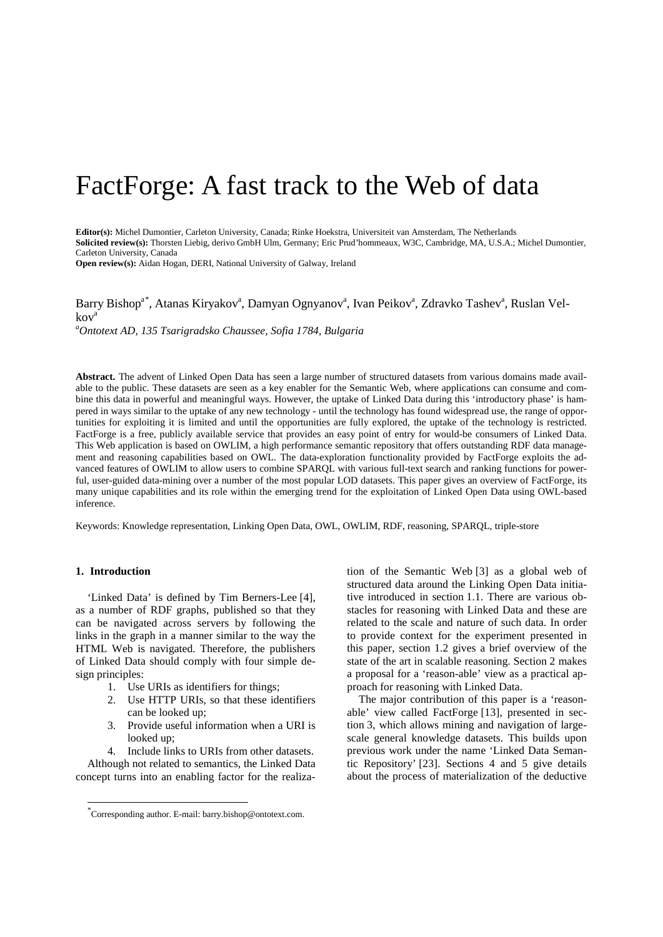# FactForge: A fast track to the Web of data

**Editor(s):** Michel Dumontier, Carleton University, Canada; Rinke Hoekstra, Universiteit van Amsterdam, The Netherlands **Solicited review(s):** Thorsten Liebig, derivo GmbH Ulm, Germany; Eric Prud'hommeaux, W3C, Cambridge, MA, U.S.A.; Michel Dumontier, Carleton University, Canada

**Open review(s):** Aidan Hogan, DERI, National University of Galway, Ireland

Barry Bishop<sup>a[\\*](#page-0-0)</sup>, Atanas Kiryakov<sup>a</sup>, Damyan Ognyanov<sup>a</sup>, Ivan Peikov<sup>a</sup>, Zdravko Tashev<sup>a</sup>, Ruslan Velkova

*a Ontotext AD, 135 Tsarigradsko Chaussee, Sofia 1784, Bulgaria*

**Abstract.** The advent of Linked Open Data has seen a large number of structured datasets from various domains made available to the public. These datasets are seen as a key enabler for the Semantic Web, where applications can consume and combine this data in powerful and meaningful ways. However, the uptake of Linked Data during this 'introductory phase' is hampered in ways similar to the uptake of any new technology - until the technology has found widespread use, the range of opportunities for exploiting it is limited and until the opportunities are fully explored, the uptake of the technology is restricted. FactForge is a free, publicly available service that provides an easy point of entry for would-be consumers of Linked Data. This Web application is based on OWLIM, a high performance semantic repository that offers outstanding RDF data management and reasoning capabilities based on OWL. The data-exploration functionality provided by FactForge exploits the advanced features of OWLIM to allow users to combine SPARQL with various full-text search and ranking functions for powerful, user-guided data-mining over a number of the most popular LOD datasets. This paper gives an overview of FactForge, its many unique capabilities and its role within the emerging trend for the exploitation of Linked Open Data using OWL-based inference.

Keywords: Knowledge representation, Linking Open Data, OWL, OWLIM, RDF, reasoning, SPARQL, triple-store

#### <span id="page-0-1"></span>**1. Introduction**

'Linked Data' is defined by Tim Berners-Lee [\[4\]](#page-9-0), as a number of RDF graphs, published so that they can be navigated across servers by following the links in the graph in a manner similar to the way the HTML Web is navigated. Therefore, the publishers of Linked Data should comply with four simple design principles:

- 1. Use URIs as identifiers for things;
- <span id="page-0-2"></span>2. Use HTTP URIs, so that these identifiers can be looked up;
- 3. Provide useful information when a URI is looked up;
- 4. Include links to URIs from other datasets.

Although not related to semantics, the Linked Data concept turns into an enabling factor for the realization of the Semantic Web [\[3\]](#page-9-1) as a global web of structured data around the Linking Open Data initiative introduced in section [1.1.](#page-1-0) There are various obstacles for reasoning with Linked Data and these are related to the scale and nature of such data. In order to provide context for the experiment presented in this paper, section [1.2](#page-1-1) gives a brief overview of the state of the art in scalable reasoning. Section [2](#page-1-2) makes a proposal for a 'reason-able' view as a practical approach for reasoning with Linked Data.

The major contribution of this paper is a 'reasonable' view called FactForge [\[13\]](#page-9-2), presented in section [3,](#page-2-0) which allows mining and navigation of largescale general knowledge datasets. This builds upon previous work under the name 'Linked Data Semantic Repository' [\[23\]](#page-9-3). Sections [4](#page-4-0) and [5](#page-5-0) give details about the process of materialization of the deductive

<span id="page-0-0"></span> <sup>\*</sup> Corresponding author. E-mail: barry.bishop@ontotext.com.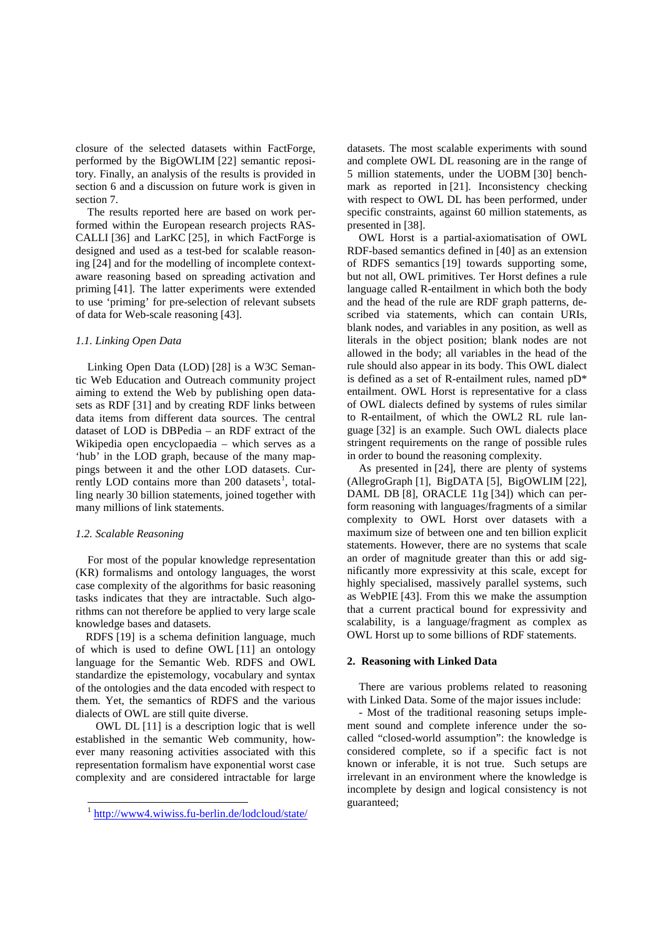closure of the selected datasets within FactForge, performed by the BigOWLIM [\[22\]](#page-9-4) semantic repository. Finally, an analysis of the results is provided in section [6](#page-6-0) and a discussion on future work is given in section [7.](#page-8-0)

The results reported here are based on work performed within the European research projects RAS-CALLI [\[36\]](#page-9-5) and LarKC [\[25\]](#page-9-6), in which FactForge is designed and used as a test-bed for scalable reasoning [\[24\]](#page-9-7) and for the modelling of incomplete contextaware reasoning based on spreading activation and priming [\[41\]](#page-10-0). The latter experiments were extended to use 'priming' for pre-selection of relevant subsets of data for Web-scale reasoning [\[43\]](#page-10-1).

## <span id="page-1-0"></span>*1.1. Linking Open Data*

Linking Open Data (LOD) [\[28\]](#page-9-8) is a W3C Semantic Web Education and Outreach community project aiming to extend the Web by publishing open datasets as RDF [\[31\]](#page-9-9) and by creating RDF links between data items from different data sources. The central dataset of LOD is DBPedia – an RDF extract of the Wikipedia open encyclopaedia – which serves as a 'hub' in the LOD graph, because of the many mappings between it and the other LOD datasets. Cur-rently LOD contains more than 200 datasets<sup>[1](#page-1-3)</sup>, totalling nearly 30 billion statements, joined together with many millions of link statements.

## <span id="page-1-1"></span>*1.2. Scalable Reasoning*

For most of the popular knowledge representation (KR) formalisms and ontology languages, the worst case complexity of the algorithms for basic reasoning tasks indicates that they are intractable. Such algorithms can not therefore be applied to very large scale knowledge bases and datasets.

RDFS [\[19\]](#page-9-10) is a schema definition language, much of which is used to define OWL [\[11\]](#page-9-11) an ontology language for the Semantic Web. RDFS and OWL standardize the epistemology, vocabulary and syntax of the ontologies and the data encoded with respect to them. Yet, the semantics of RDFS and the various dialects of OWL are still quite diverse.

OWL DL [\[11\]](#page-9-11) is a description logic that is well established in the semantic Web community, however many reasoning activities associated with this representation formalism have exponential worst case complexity and are considered intractable for large datasets. The most scalable experiments with sound and complete OWL DL reasoning are in the range of 5 million statements, under the UOBM [\[30\]](#page-9-12) benchmark as reported in [\[21\]](#page-9-13). Inconsistency checking with respect to OWL DL has been performed, under specific constraints, against 60 million statements, as presented in [\[38\]](#page-9-14).

OWL Horst is a partial-axiomatisation of OWL RDF-based semantics defined in [\[40\]](#page-9-15) as an extension of RDFS semantics [\[19\]](#page-9-10) towards supporting some, but not all, OWL primitives. Ter Horst defines a rule language called R-entailment in which both the body and the head of the rule are RDF graph patterns, described via statements, which can contain URIs, blank nodes, and variables in any position, as well as literals in the object position; blank nodes are not allowed in the body; all variables in the head of the rule should also appear in its body. This OWL dialect is defined as a set of R-entailment rules, named pD\* entailment. OWL Horst is representative for a class of OWL dialects defined by systems of rules similar to R-entailment, of which the OWL2 RL rule language [\[32\]](#page-9-16) is an example. Such OWL dialects place stringent requirements on the range of possible rules in order to bound the reasoning complexity.

As presented in [\[24\]](#page-9-7), there are plenty of systems (AllegroGraph [\[1\]](#page-9-17), BigDATA [\[5\]](#page-9-18), BigOWLIM [\[22\]](#page-9-4), DAML DB [\[8\]](#page-9-19), ORACLE 11g [\[34\]](#page-9-20)) which can perform reasoning with languages/fragments of a similar complexity to OWL Horst over datasets with a maximum size of between one and ten billion explicit statements. However, there are no systems that scale an order of magnitude greater than this or add significantly more expressivity at this scale, except for highly specialised, massively parallel systems, such as WebPIE [\[43\]](#page-10-1). From this we make the assumption that a current practical bound for expressivity and scalability, is a language/fragment as complex as OWL Horst up to some billions of RDF statements.

#### <span id="page-1-2"></span>**2. Reasoning with Linked Data**

There are various problems related to reasoning with Linked Data. Some of the major issues include:

- Most of the traditional reasoning setups implement sound and complete inference under the socalled "closed-world assumption": the knowledge is considered complete, so if a specific fact is not known or inferable, it is not true. Such setups are irrelevant in an environment where the knowledge is incomplete by design and logical consistency is not guaranteed;

<span id="page-1-3"></span> <sup>1</sup> <http://www4.wiwiss.fu-berlin.de/lodcloud/state/>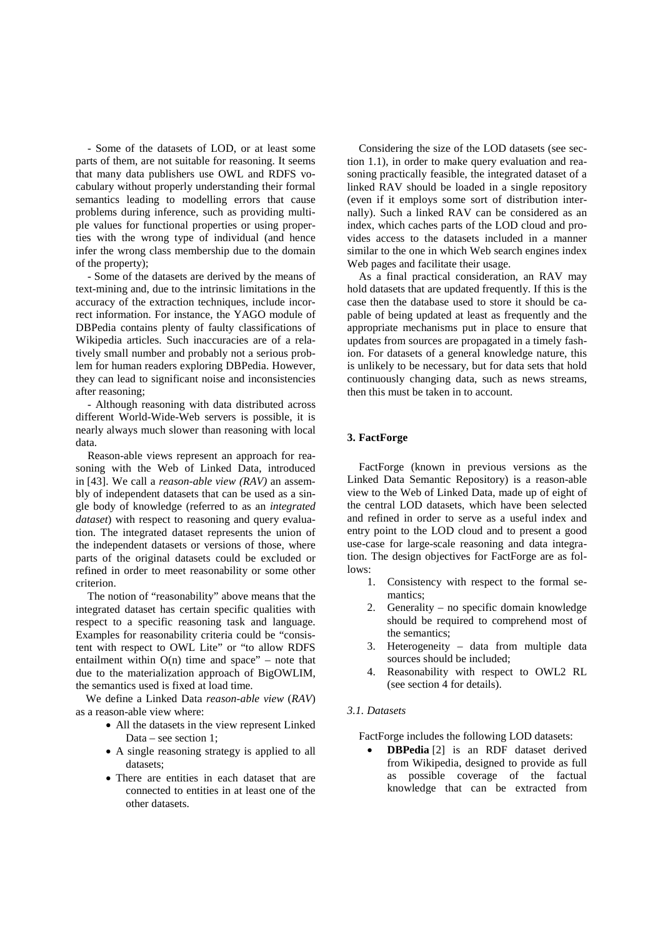- Some of the datasets of LOD, or at least some parts of them, are not suitable for reasoning. It seems that many data publishers use OWL and RDFS vocabulary without properly understanding their formal semantics leading to modelling errors that cause problems during inference, such as providing multiple values for functional properties or using properties with the wrong type of individual (and hence infer the wrong class membership due to the domain of the property);

- Some of the datasets are derived by the means of text-mining and, due to the intrinsic limitations in the accuracy of the extraction techniques, include incorrect information. For instance, the YAGO module of DBPedia contains plenty of faulty classifications of Wikipedia articles. Such inaccuracies are of a relatively small number and probably not a serious problem for human readers exploring DBPedia. However, they can lead to significant noise and inconsistencies after reasoning;

- Although reasoning with data distributed across different World-Wide-Web servers is possible, it is nearly always much slower than reasoning with local data.

Reason-able views represent an approach for reasoning with the Web of Linked Data, introduced in [\[43\]](#page-10-1). We call a *reason-able view (RAV)* an assembly of independent datasets that can be used as a single body of knowledge (referred to as an *integrated dataset*) with respect to reasoning and query evaluation. The integrated dataset represents the union of the independent datasets or versions of those, where parts of the original datasets could be excluded or refined in order to meet reasonability or some other criterion.

The notion of "reasonability" above means that the integrated dataset has certain specific qualities with respect to a specific reasoning task and language. Examples for reasonability criteria could be "consistent with respect to OWL Lite" or "to allow RDFS entailment within  $O(n)$  time and space" – note that due to the materialization approach of BigOWLIM, the semantics used is fixed at load time.

We define a Linked Data *reason-able view* (*RAV*) as a reason-able view where:

- All the datasets in the view represent Linked Data – see section [1;](#page-0-1)
- A single reasoning strategy is applied to all datasets;
- There are entities in each dataset that are connected to entities in at least one of the other datasets.

Considering the size of the LOD datasets (see section [1.1\)](#page-1-0), in order to make query evaluation and reasoning practically feasible, the integrated dataset of a linked RAV should be loaded in a single repository (even if it employs some sort of distribution internally). Such a linked RAV can be considered as an index, which caches parts of the LOD cloud and provides access to the datasets included in a manner similar to the one in which Web search engines index Web pages and facilitate their usage.

As a final practical consideration, an RAV may hold datasets that are updated frequently. If this is the case then the database used to store it should be capable of being updated at least as frequently and the appropriate mechanisms put in place to ensure that updates from sources are propagated in a timely fashion. For datasets of a general knowledge nature, this is unlikely to be necessary, but for data sets that hold continuously changing data, such as news streams, then this must be taken in to account.

## <span id="page-2-0"></span>**3. FactForge**

FactForge (known in previous versions as the Linked Data Semantic Repository) is a reason-able view to the Web of Linked Data, made up of eight of the central LOD datasets, which have been selected and refined in order to serve as a useful index and entry point to the LOD cloud and to present a good use-case for large-scale reasoning and data integration. The design objectives for FactForge are as follows:

- 1. Consistency with respect to the formal semantics;
- 2. Generality no specific domain knowledge should be required to comprehend most of the semantics;
- 3. Heterogeneity data from multiple data sources should be included;
- 4. Reasonability with respect to OWL2 RL (see section [4](#page-4-0) for details).

## *3.1. Datasets*

FactForge includes the following LOD datasets:

**DBPedia** [\[2\]](#page-9-21) is an RDF dataset derived from Wikipedia, designed to provide as full as possible coverage of the factual knowledge that can be extracted from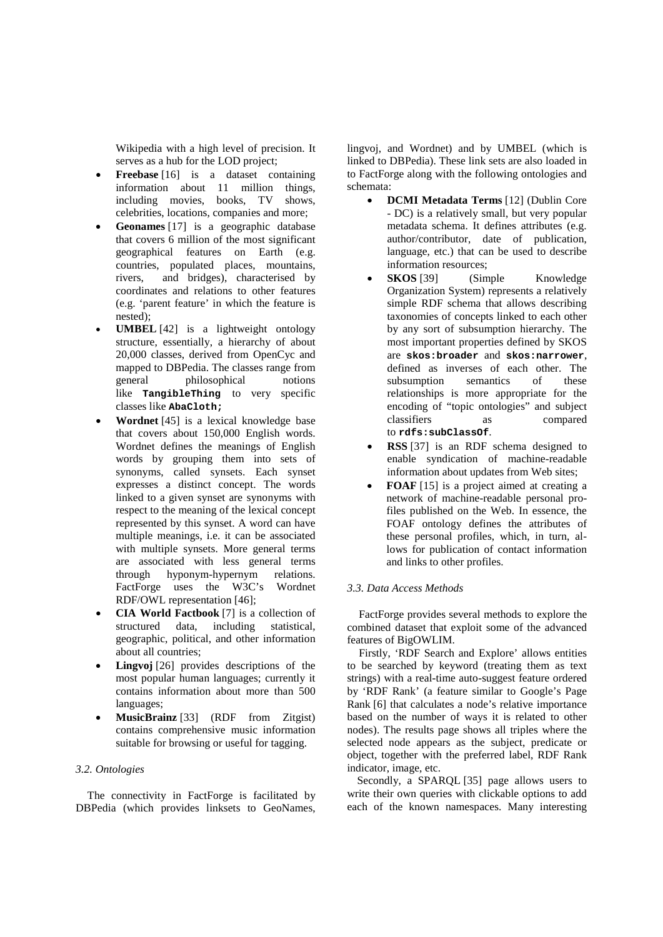Wikipedia with a high level of precision. It serves as a hub for the LOD project;

- **Freebase** [\[16\]](#page-9-22) is a dataset containing information about 11 million things,<br>including movies, books, TV shows, including movies, books, TV celebrities, locations, companies and more;
- **Geonames** [\[17\]](#page-9-23) is a geographic database that covers 6 million of the most significant geographical features on Earth (e.g. countries, populated places, mountains, rivers, and bridges), characterised by coordinates and relations to other features (e.g. 'parent feature' in which the feature is nested);
- **UMBEL** [\[42\]](#page-10-2) is a lightweight ontology structure, essentially, a hierarchy of about 20,000 classes, derived from OpenCyc and mapped to DBPedia. The classes range from general philosophical notions like **TangibleThing** to very specific classes like **AbaCloth;**
- **Wordnet** [\[45\]](#page-10-3) is a lexical knowledge base that covers about 150,000 English words. Wordnet defines the meanings of English words by grouping them into sets of synonyms, called synsets. Each synset expresses a distinct concept. The words linked to a given synset are synonyms with respect to the meaning of the lexical concept represented by this synset. A word can have multiple meanings, i.e. it can be associated with multiple synsets. More general terms are associated with less general terms through hyponym-hypernym relations. FactForge uses the W3C's Wordnet RDF/OWL representation [\[46\]](#page-10-4) ;
- **CIA World Factbook** [ [7\]](#page-9-24) is a collection of structured data, including statistical, geographic, political, and other information about all countries;
- **Lingvoj** [\[26\]](#page-9-25) provides descriptions of the most popular human languages; currently it contains information about more than 500 languages;
- **MusicBrainz** [\[33\]](#page-9-26) (RDF from Zitgist) contains comprehensive music information suitable for browsing or useful for tagging.

## *3.2. Ontologies*

The connectivity in FactForge is facilitated by DBPedia (which provides linksets to GeoNames, lingvoj, and Wordnet) and by UMBEL (which is linked to DBPedia). These link sets are also loaded in to FactForge along with the following ontologies and schemata:

- **DCMI Metadata Terms** [\[12\]](#page-9-27) (Dublin Core - DC) is a relatively small, but very popular metadata schema. It defines attributes (e.g. author/contributor, date of publication, language, etc.) that can be used to describe information resources;
- **SKOS** [\[39\]](#page-9-28) (Simple Knowledge Organization System) represents a relatively simple RDF schema that allows describing taxonomies of concepts linked to each other by any sort of subsumption hierarchy. The most important properties defined by SKOS are **skos:broader** and **skos:narrower**, defined as inverses of each other. The subsumption semantics of these relationships is more appropriate for the encoding of "topic ontologies" and subject<br>classifiers as compared as compared to **rdfs:subClassOf** .
- **RSS** [ [37\]](#page-9-29) is an RDF schema designed to enable syndication of machine-readable information about updates from Web sites;
- **FOAF** [\[15\]](#page-9-30) is a project aimed at creating a network of machine-readable personal profiles published on the Web. In essence, the FOAF ontology defines the attributes of these personal profiles, which, in turn, allows for publication of contact information and links to other profiles.

## <span id="page-3-0"></span>*3.3. Data Access Methods*

FactForge provides several methods to explore the combined dataset that exploit some of the advanced features of BigOWLIM.

Firstly, 'RDF Search and Explore' allows entities to be searched by keyword (treating them as text strings) with a real-time auto-suggest feature ordered by 'RDF Rank' (a feature similar to Google's Page Rank [\[6\]](#page-9-31) that calculates a node's relative importance based on the number of ways it is related to other nodes). The results page shows all triples where the selected node appears as the subject, predicate or object, together with the preferred label, RDF Rank indicator, image, etc.

Secondly, a SPARQL [\[35\]](#page-9-32) page allows users to write their own queries with clickable options to add each of the known namespaces. Many interesting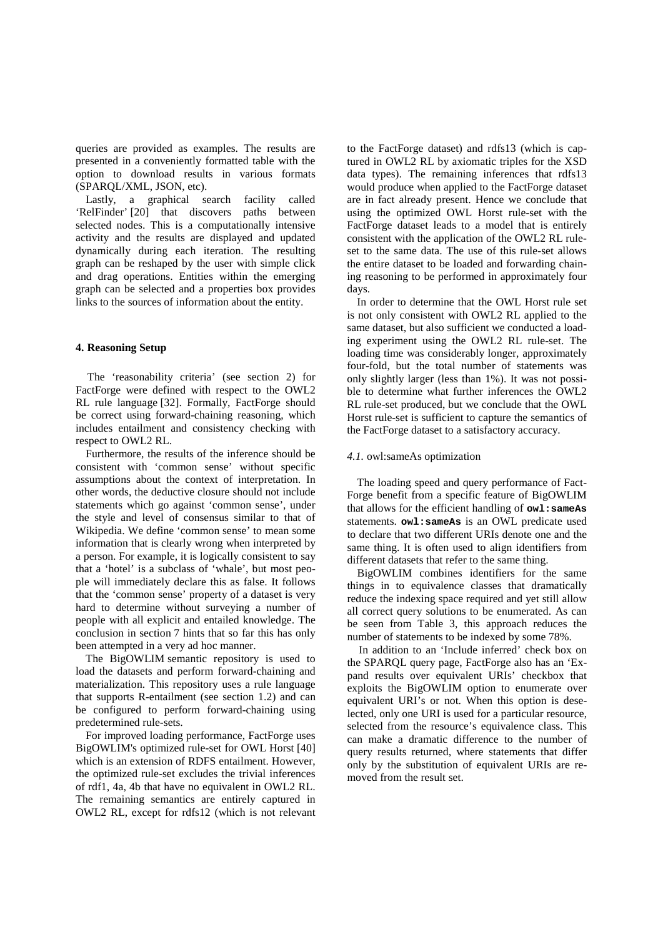queries are provided as examples. The results are presented in a conveniently formatted table with the option to download results in various formats (SPARQL/XML, JSON, etc).

Lastly, a graphical search facility called 'RelFinder' [\[20\]](#page-9-33) that discovers paths between selected nodes. This is a computationally intensive activity and the results are displayed and updated dynamically during each iteration. The resulting graph can be reshaped by the user with simple click and drag operations. Entities within the emerging graph can be selected and a properties box provides links to the sources of information about the entity.

## <span id="page-4-0"></span>**4. Reasoning Setup**

The 'reasonability criteria' (see section [2\)](#page-0-2) for FactForge were defined with respect to the OWL2 RL rule language [\[32\]](#page-9-16). Formally, FactForge should be correct using forward-chaining reasoning, which includes entailment and consistency checking with respect to OWL2 RL.

Furthermore, the results of the inference should be consistent with 'common sense' without specific assumptions about the context of interpretation. In other words, the deductive closure should not include statements which go against 'common sense', under the style and level of consensus similar to that of Wikipedia. We define 'common sense' to mean some information that is clearly wrong when interpreted by a person. For example, it is logically consistent to say that a 'hotel' is a subclass of 'whale', but most people will immediately declare this as false. It follows that the 'common sense' property of a dataset is very hard to determine without surveying a number of people with all explicit and entailed knowledge. The conclusion in section [7](#page-8-0) hints that so far this has only been attempted in a very ad hoc manner.

The BigOWLIM semantic repository is used to load the datasets and perform forward-chaining and materialization. This repository uses a rule language that supports R-entailment (see section [1.2\)](#page-1-1) and can be configured to perform forward-chaining using predetermined rule-sets.

For improved loading performance, FactForge uses BigOWLIM's optimized rule-set for OWL Horst [\[40\]](#page-9-15) which is an extension of RDFS entailment. However, the optimized rule-set excludes the trivial inferences of rdf1, 4a, 4b that have no equivalent in OWL2 RL. The remaining semantics are entirely captured in OWL2 RL, except for rdfs12 (which is not relevant to the FactForge dataset) and rdfs13 (which is captured in OWL2 RL by axiomatic triples for the XSD data types). The remaining inferences that rdfs13 would produce when applied to the FactForge dataset are in fact already present. Hence we conclude that using the optimized OWL Horst rule-set with the FactForge dataset leads to a model that is entirely consistent with the application of the OWL2 RL ruleset to the same data. The use of this rule-set allows the entire dataset to be loaded and forwarding chaining reasoning to be performed in approximately four days.

In order to determine that the OWL Horst rule set is not only consistent with OWL2 RL applied to the same dataset, but also sufficient we conducted a loading experiment using the OWL2 RL rule-set. The loading time was considerably longer, approximately four-fold, but the total number of statements was only slightly larger (less than 1%). It was not possible to determine what further inferences the OWL2 RL rule-set produced, but we conclude that the OWL Horst rule-set is sufficient to capture the semantics of the FactForge dataset to a satisfactory accuracy.

## *4.1.* owl:sameAs optimization

The loading speed and query performance of Fact-Forge benefit from a specific feature of BigOWLIM that allows for the efficient handling of **owl:sameAs** statements. **owl:sameAs** is an OWL predicate used to declare that two different URIs denote one and the same thing. It is often used to align identifiers from different datasets that refer to the same thing.

BigOWLIM combines identifiers for the same things in to equivalence classes that dramatically reduce the indexing space required and yet still allow all correct query solutions to be enumerated. As can be seen from [Table 3,](#page-6-1) this approach reduces the number of statements to be indexed by some 78%.

In addition to an 'Include inferred' check box on the SPARQL query page, FactForge also has an 'Expand results over equivalent URIs' checkbox that exploits the BigOWLIM option to enumerate over equivalent URI's or not. When this option is deselected, only one URI is used for a particular resource, selected from the resource's equivalence class. This can make a dramatic difference to the number of query results returned, where statements that differ only by the substitution of equivalent URIs are removed from the result set.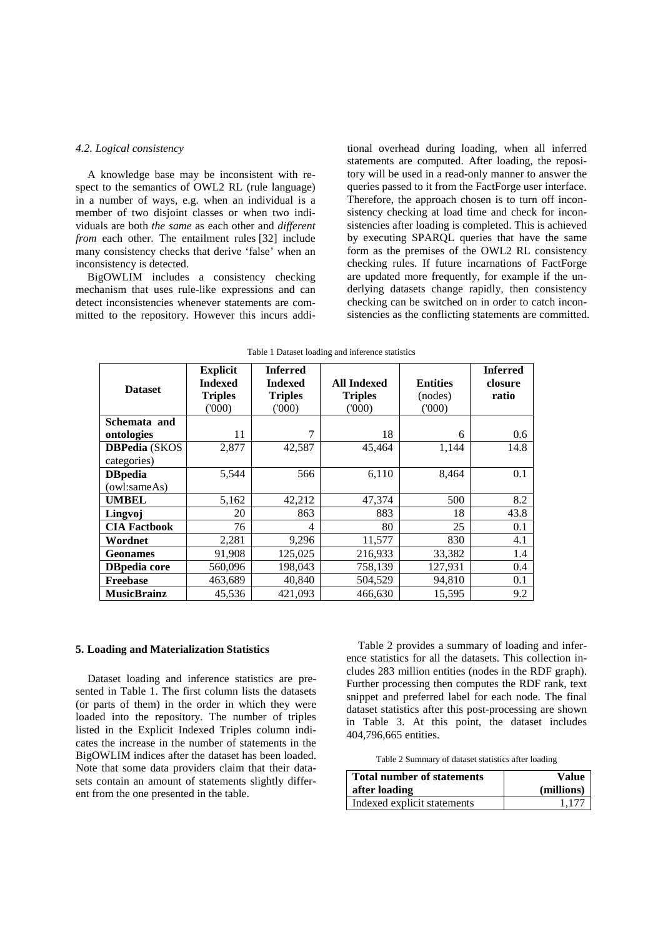#### *4.2. Logical consistency*

A knowledge base may be inconsistent with respect to the semantics of OWL2 RL (rule language) in a number of ways, e.g. when an individual is a member of two disjoint classes or when two individuals are both *the same* as each other and *different from* each other. The entailment rules [\[32\]](#page-9-16) include many consistency checks that derive 'false' when an inconsistency is detected.

BigOWLIM includes a consistency checking mechanism that uses rule-like expressions and can detect inconsistencies whenever statements are committed to the repository. However this incurs additional overhead during loading, when all inferred statements are computed. After loading, the repository will be used in a read-only manner to answer the queries passed to it from the FactForge user interface. Therefore, the approach chosen is to turn off inconsistency checking at load time and check for inconsistencies after loading is completed. This is achieved by executing SPARQL queries that have the same form as the premises of the OWL2 RL consistency checking rules. If future incarnations of FactForge are updated more frequently, for example if the underlying datasets change rapidly, then consistency checking can be switched on in order to catch inconsistencies as the conflicting statements are committed.

<span id="page-5-1"></span>

| <b>Dataset</b>       | <b>Explicit</b><br><b>Indexed</b><br><b>Triples</b><br>(000) | <b>Inferred</b><br><b>Indexed</b><br><b>Triples</b><br>(000) | <b>All Indexed</b><br><b>Triples</b><br>(000) | <b>Entities</b><br>(nodes)<br>(000) | <b>Inferred</b><br>closure<br>ratio |
|----------------------|--------------------------------------------------------------|--------------------------------------------------------------|-----------------------------------------------|-------------------------------------|-------------------------------------|
| Schemata and         |                                                              |                                                              |                                               |                                     |                                     |
| ontologies           | 11                                                           | 7                                                            | 18                                            | 6                                   | 0.6                                 |
| <b>DBPedia</b> (SKOS | 2,877                                                        | 42,587                                                       | 45,464                                        | 1,144                               | 14.8                                |
| categories)          |                                                              |                                                              |                                               |                                     |                                     |
| <b>DB</b> pedia      | 5,544                                                        | 566                                                          | 6,110                                         | 8,464                               | 0.1                                 |
| (owl:sameAs)         |                                                              |                                                              |                                               |                                     |                                     |
| <b>UMBEL</b>         | 5,162                                                        | 42,212                                                       | 47,374                                        | 500                                 | 8.2                                 |
| Lingvoj              | 20                                                           | 863                                                          | 883                                           | 18                                  | 43.8                                |
| <b>CIA Factbook</b>  | 76                                                           | 4                                                            | 80                                            | 25                                  | 0.1                                 |
| Wordnet              | 2,281                                                        | 9,296                                                        | 11,577                                        | 830                                 | 4.1                                 |
| <b>Geonames</b>      | 91,908                                                       | 125,025                                                      | 216,933                                       | 33,382                              | 1.4                                 |
| <b>DB</b> pedia core | 560,096                                                      | 198,043                                                      | 758,139                                       | 127,931                             | 0.4                                 |
| <b>Freebase</b>      | 463,689                                                      | 40,840                                                       | 504,529                                       | 94,810                              | 0.1                                 |
| <b>MusicBrainz</b>   | 45,536                                                       | 421,093                                                      | 466,630                                       | 15,595                              | 9.2                                 |

Table 1 Dataset loading and inference statistics

## <span id="page-5-0"></span>**5. Loading and Materialization Statistics**

Dataset loading and inference statistics are presented in [Table 1.](#page-5-1) The first column lists the datasets (or parts of them) in the order in which they were loaded into the repository. The number of triples listed in the Explicit Indexed Triples column indicates the increase in the number of statements in the BigOWLIM indices after the dataset has been loaded. Note that some data providers claim that their datasets contain an amount of statements slightly different from the one presented in the table.

[Table 2](#page-5-2) provides a summary of loading and inference statistics for all the datasets. This collection includes 283 million entities (nodes in the RDF graph). Further processing then computes the RDF rank, text snippet and preferred label for each node. The final dataset statistics after this post-processing are shown in [Table 3.](#page-6-1) At this point, the dataset includes 404,796,665 entities.

Table 2 Summary of dataset statistics after loading

<span id="page-5-2"></span>

| <b>Total number of statements</b> | Value      |  |
|-----------------------------------|------------|--|
| after loading                     | (millions) |  |
| Indexed explicit statements       | 1.177      |  |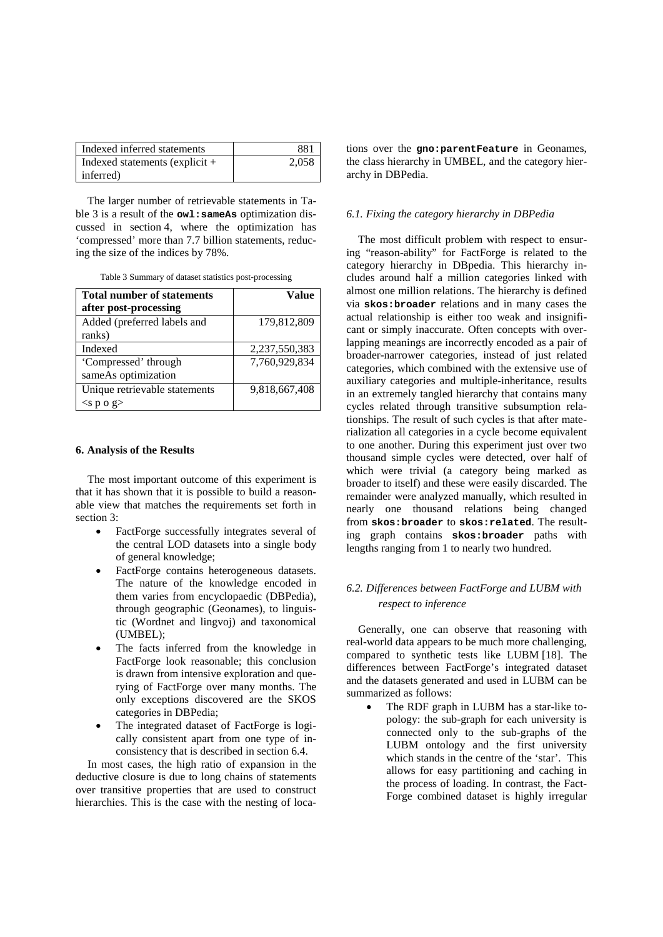| Indexed inferred statements      | 881   |
|----------------------------------|-------|
| Indexed statements (explicit $+$ | 2,058 |
| inferred)                        |       |

The larger number of retrievable statements in [Ta](#page-6-1)[ble 3](#page-6-1) is a result of the **owl:sameAs** optimization dis-cussed in section [4](#page-4-0), where the optimization has 'compressed' more than 7.7 billion statements, reducing the size of the indices by 78%.

Table 3 Summary of dataset statistics post-processing

<span id="page-6-1"></span>

| <b>Total number of statements</b> | Value         |
|-----------------------------------|---------------|
| after post-processing             |               |
| Added (preferred labels and       | 179,812,809   |
| ranks)                            |               |
| Indexed                           | 2,237,550,383 |
| 'Compressed' through              | 7,760,929,834 |
| sameAs optimization               |               |
| Unique retrievable statements     | 9,818,667,408 |
| $<$ s p o g $>$                   |               |

## <span id="page-6-0"></span>**6. Analysis of the Results**

The most important outcome of this experiment is that it has shown that it is possible to build a reasonable view that matches the requirements set forth in section [3:](#page-2-0)

- FactForge successfully integrates several of the central LOD datasets into a single body of general knowledge;
- FactForge contains heterogeneous datasets. The nature of the knowledge encoded in them varies from encyclopaedic (DBPedia), through geographic (Geonames), to linguistic (Wordnet and lingvoj) and taxonomical (UMBEL);
- The facts inferred from the knowledge in FactForge look reasonable; this conclusion is drawn from intensive exploration and querying of FactForge over many months. The only exceptions discovered are the SKOS categories in DBPedia;
- The integrated dataset of FactForge is logically consistent apart from one type of inconsistency that is described in section [6.4.](#page-7-0)

In most cases, the high ratio of expansion in the deductive closure is due to long chains of statements over transitive properties that are used to construct hierarchies. This is the case with the nesting of loca-

tions over the **gno:parentFeature** in Geonames, the class hierarchy in UMBEL, and the category hierarchy in DBPedia.

## *6.1. Fixing the category hierarchy in DBPedia*

The most difficult problem with respect to ensuring "reason-ability" for FactForge is related to the category hierarchy in DBpedia. This hierarchy includes around half a million categories linked with almost one million relations. The hierarchy is defined via **skos:broader** relations and in many cases the actual relationship is either too weak and insignificant or simply inaccurate. Often concepts with overlapping meanings are incorrectly encoded as a pair of broader-narrower categories, instead of just related categories, which combined with the extensive use of auxiliary categories and multiple-inheritance, results in an extremely tangled hierarchy that contains many cycles related through transitive subsumption relationships. The result of such cycles is that after materialization all categories in a cycle become equivalent to one another. During this experiment just over two thousand simple cycles were detected, over half of which were trivial (a category being marked as broader to itself) and these were easily discarded. The remainder were analyzed manually, which resulted in nearly one thousand relations being changed from **skos:broader** to **skos:related**. The resulting graph contains **skos:broader** paths with lengths ranging from 1 to nearly two hundred.

# *6.2. Differences between FactForge and LUBM with respect to inference*

Generally, one can observe that reasoning with real-world data appears to be much more challenging, compared to synthetic tests like LUBM [\[18\]](#page-9-34). The differences between FactForge's integrated dataset and the datasets generated and used in LUBM can be summarized as follows:

• The RDF graph in LUBM has a star-like topology: the sub-graph for each university is connected only to the sub-graphs of the LUBM ontology and the first university which stands in the centre of the 'star'. This allows for easy partitioning and caching in the process of loading. In contrast, the Fact-Forge combined dataset is highly irregular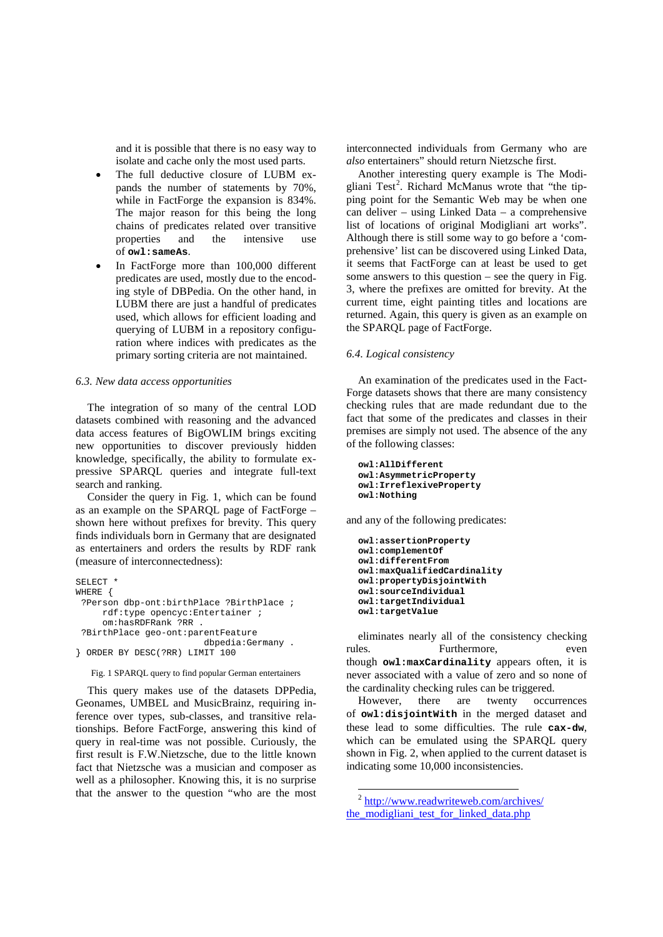and it is possible that there is no easy way to isolate and cache only the most used parts.

- The full deductive closure of LUBM expands the number of statements by 70%, while in FactForge the expansion is 834%. The major reason for this being the long chains of predicates related over transitive<br>properties and the intensive use and the intensive use of **owl:sameAs** .
- In FactForge more than 100,000 different predicates are used, mostly due to the encoding style of DBPedia. On the other hand, in LUBM there are just a handful of predicates used, which allows for efficient loading and querying of LUBM in a repository configuration where indices with predicates as the primary sorting criteria are not maintained.

## *6.3. New data access opportunities*

The integration of so many of the central LOD datasets combined with reasoning and the advanced data access features of BigOWLIM brings exciting new opportunities to discover previously hidden knowledge, specifically, the ability to formulate expressive SPARQL queries and integrate full-text search and ranking.

Consider the query in [Fig. 1,](#page-7-1) which can be found as an example on the SPARQL page of FactForge – shown here without prefixes for brevity. This query finds individuals born in Germany that are designated as entertainers and orders the results by RDF rank (measure of interconnectedness):

```
SELECT<sup>+</sup>
WHERE {
?Person dbp-ont:birthPlace ?BirthPlace ;
     rdf:type opencyc:Entertainer ;
     om:hasRDFRank ?RR .
 ?BirthPlace geo-ont:parentFeature
 dbpedia:Germany .
} ORDER BY DESC(?RR) LIMIT 100
```
Fig. 1 SPARQL query to find popular German entertainers

<span id="page-7-2"></span><span id="page-7-1"></span>This query makes use of the datasets DPPedia, Geonames, UMBEL and MusicBrainz, requiring inference over types, sub-classes, and transitive relationships. Before FactForge, answering this kind of query in real-time was not possible. Curiously, the first result is F.W.Nietzsche, due to the little known fact that Nietzsche was a musician and composer as well as a philosopher. Knowing this, it is no surprise that the answer to the question "who are the most

interconnected individuals from Germany who are *also* entertainers" should return Nietzsche first.

Another interesting query example is The Modi-gliani Test<sup>[2](#page-7-2)</sup>. Richard McManus wrote that "the tipsome answers to this question  $-$  see the query in Fig. [3](#page-8-1) , where the prefixes are omitted for brevity. At the ping point for the Semantic Web may be when one can deliver – using Linked Data – a comprehensive list of locations of original Modigliani art works". Although there is still some way to go before a 'comprehensive' list can be discovered using Linked Data, it seems that FactForge can at least be used to get current time, eight painting titles and locations are returned. Again, this query is given as an example on the SPARQL page of FactForge.

## <span id="page-7-0"></span>*6.4. Logical consistency*

An examination of the predicates used in the Fact-Forge datasets shows that there are many consistency checking rules that are made redundant due to the fact that some of the predicates and classes in their premises are simply not used. The absence of the any of the following classes:

```
owl:AllDifferent
owl:AsymmetricProperty
owl:IrreflexiveProperty
owl:Nothing
```
and any of the following predicates:

```
owl:assertionProperty
owl:complementOf
owl:differentFrom
owl:maxQualifiedCardinality
owl:propertyDisjointWith
owl:sourceIndividual
owl:targetIndividual
owl:targetValue
```
eliminates nearly all of the consistency checking rules. Furthermore, even though **owl:maxCardinality** appears often, it is never associated with a value of zero and so none of the cardinality checking rules can be triggered.

However, there are twenty occurrences of **owl:disjointWith** in the merged dataset and these lead to some difficulties. The rule **cax-dw**, which can be emulated using the SPARQL query shown in [Fig. 2,](#page-8-2) when applied to the current dataset is indicating some 10,000 inconsistencies.

<sup>&</sup>lt;sup>2</sup> [http://www.readwriteweb.com/archives/](http://www.readwriteweb.com/archives/‌the_modigliani_test_for_linked_data.php) the modigliani test for linked data.php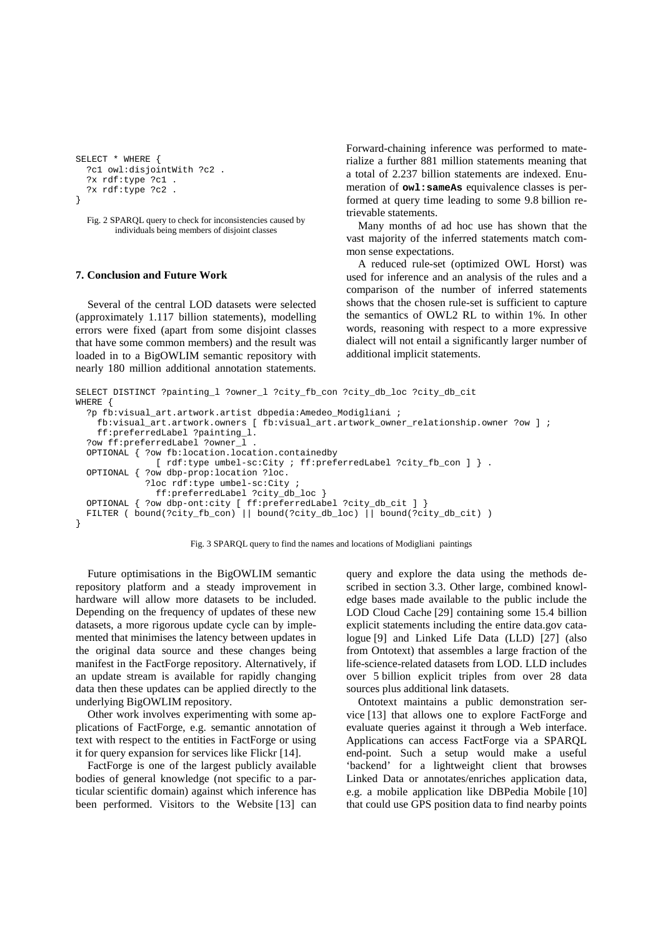```
SELECT * WHERE {
   ?c1 owl:disjointWith ?c2 .
   ?x rdf:type ?c1 .
   ?x rdf:type ?c2 .
}
```
<span id="page-8-2"></span>Fig. 2 SPARQL query to check for inconsistencies caused by individuals being members of disjoint classes

## <span id="page-8-0"></span>**7. Conclusion and Future Work**

Several of the central LOD datasets were selected (approximately 1.117 billion statements), modelling errors were fixed (apart from some disjoint classes that have some common members) and the result was loaded in to a BigOWLIM semantic repository with nearly 180 million additional annotation statements. Forward-chaining inference was performed to materialize a further 881 million statements meaning that a total of 2.237 billion statements are indexed. Enumeration of **owl:sameAs** equivalence classes is performed at query time leading to some 9.8 billion retrievable statements.

Many months of ad hoc use has shown that the vast majority of the inferred statements match common sense expectations.

A reduced rule-set (optimized OWL Horst) was used for inference and an analysis of the rules and a comparison of the number of inferred statements shows that the chosen rule-set is sufficient to capture the semantics of OWL2 RL to within 1%. In other words, reasoning with respect to a more expressive dialect will not entail a significantly larger number of additional implicit statements.

```
SELECT DISTINCT ?painting_l ?owner_l ?city_fb_con ?city_db_loc ?city_db_cit
WHERE {
   ?p fb:visual_art.artwork.artist dbpedia:Amedeo_Modigliani ;
    fb:visual_art.artwork.owners [ fb:visual_art.artwork_owner_relationship.owner ?ow ] ;
     ff:preferredLabel ?painting_l.
   ?ow ff:preferredLabel ?owner_l .
  OPTIONAL { ?ow fb:location.location.containedby 
               [ rdf:type umbel-sc:City ; ff:preferredLabel ?city_fb_con ] } .
  OPTIONAL { ?ow dbp-prop:location ?loc.
              ?loc rdf:type umbel-sc:City ;
                ff:preferredLabel ?city_db_loc }
  OPTIONAL { ?ow dbp-ont:city [ ff:preferredLabel ?city_db_cit ] }
  FILTER ( bound(?city_fb_con) || bound(?city_db_loc) || bound(?city_db_cit) )
}
```
Fig. 3 SPARQL query to find the names and locations of Modigliani paintings

<span id="page-8-1"></span>Future optimisations in the BigOWLIM semantic repository platform and a steady improvement in hardware will allow more datasets to be included. Depending on the frequency of updates of these new datasets, a more rigorous update cycle can by implemented that minimises the latency between updates in the original data source and these changes being manifest in the FactForge repository. Alternatively, if an update stream is available for rapidly changing data then these updates can be applied directly to the underlying BigOWLIM repository.

Other work involves experimenting with some applications of FactForge, e.g. semantic annotation of text with respect to the entities in FactForge or using it for query expansion for services like Flickr [\[14\]](#page-9-35).

FactForge is one of the largest publicly available bodies of general knowledge (not specific to a particular scientific domain) against which inference has been performed. Visitors to the Website [\[13\]](#page-9-2) can

query and explore the data using the methods described in section [3.3.](#page-3-0) Other large, combined knowledge bases made available to the public include the LOD Cloud Cache [\[29\]](#page-9-36) containing some 15.4 billion explicit statements including the entire data.gov catalogue [\[9\]](#page-9-37) and Linked Life Data (LLD) [\[27\]](#page-9-38) (also from Ontotext) that assembles a large fraction of the life-science-related datasets from LOD. LLD includes over 5 billion explicit triples from over 28 data sources plus additional link datasets.

Ontotext maintains a public demonstration service [\[13\]](#page-9-2) that allows one to explore FactForge and evaluate queries against it through a Web interface. Applications can access FactForge via a SPARQL end-point. Such a setup would make a useful 'backend' for a lightweight client that browses Linked Data or annotates/enriches application data, e.g. a mobile application like DBPedia Mobile [\[10\]](#page-9-39) that could use GPS position data to find nearby points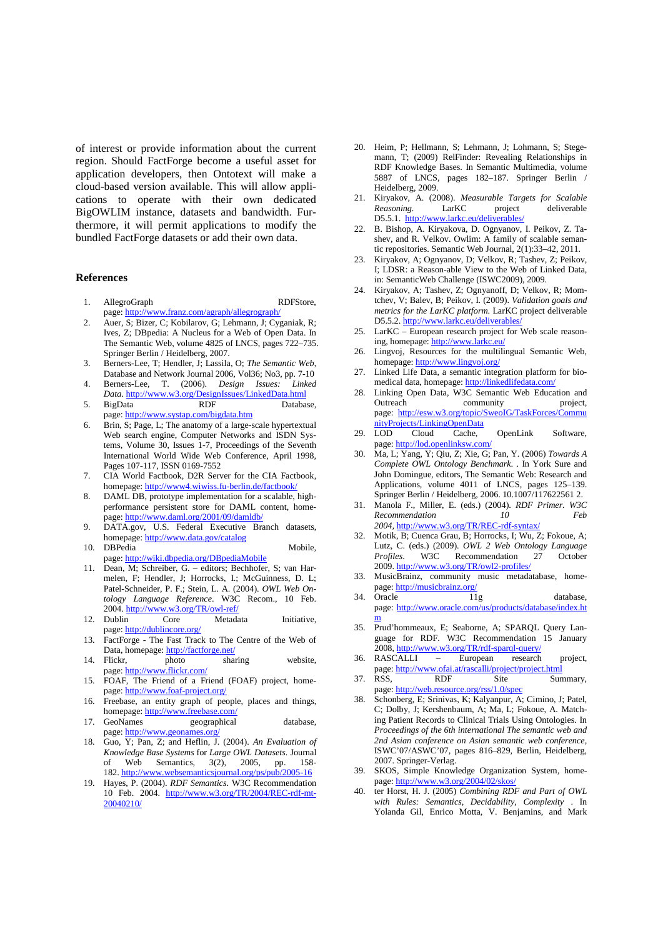of interest or provide information about the current region. Should FactForge become a useful asset for application developers, then Ontotext will make a cloud-based version available. This will allow applications to operate with their own dedicated BigOWLIM instance, datasets and bandwidth. Furthermore, it will permit applications to modify the bundled FactForge datasets or add their own data.

#### **References**

- <span id="page-9-17"></span>1. AllegroGraph RDFStore, page[: http://www.franz.com/agraph/allegrograph/](http://www.franz.com/agraph/allegrograph/)
- <span id="page-9-21"></span>2. Auer, S; Bizer, C; Kobilarov, G; Lehmann, J; Cyganiak, R; Ives, Z; DBpedia: A Nucleus for a Web of Open Data. In The Semantic Web, volume 4825 of LNCS, pages 722–735. Springer Berlin / Heidelberg, 2007.
- <span id="page-9-1"></span>3. Berners-Lee, T; Hendler, J; Lassila, O; *The Semantic Web*, Database and Network Journal 2006, Vol36; No3, pp. 7-10
- <span id="page-9-0"></span>4. Berners-Lee, T. (2006). *Design Issues: Linked Data*[. http://www.w3.org/DesignIssues/LinkedData.html](http://www.w3.org/DesignIssues/LinkedData.html)
- <span id="page-9-18"></span>5. BigData RDF Database, page[: http://www.systap.com/bigdata.htm](http://www.systap.com/bigdata.htm)
- <span id="page-9-31"></span>6. Brin, S; Page, L; The anatomy of a large-scale hypertextual Web search engine, Computer Networks and ISDN Systems, Volume 30, Issues 1-7, Proceedings of the Seventh International World Wide Web Conference, April 1998, Pages 107-117, ISSN 0169-7552
- <span id="page-9-24"></span>7. CIA World Factbook, D2R Server for the CIA Factbook, homepage: http://www4.wiwiss.fu-berlin.de/factbook
- <span id="page-9-19"></span>8. DAML DB, prototype implementation for a scalable, highperformance persistent store for DAML content, homepage[: http://www.daml.org/2001/09/damldb/](http://www.daml.org/2001/09/damldb/)
- <span id="page-9-37"></span>9. DATA.gov, U.S. Federal Executive Branch datasets, homepage[: http://www.data.gov/catalog](http://www.data.gov/catalog)
- <span id="page-9-39"></span>10. DBPedia Mobile, page[: http://wiki.dbpedia.org/DBpediaMobile](http://wiki.dbpedia.org/DBpediaMobile)
- <span id="page-9-11"></span>11. Dean, M; Schreiber, G. – editors; Bechhofer, S; van Harmelen, F; Hendler, J; Horrocks, I.; McGuinness, D. L; Patel-Schneider, P. F.; Stein, L. A. (2004). *OWL Web Ontology Language Reference*. W3C Recom., 10 Feb. 2004[. http://www.w3.org/TR/owl-ref/](http://www.w3.org/TR/owl-ref/)
- <span id="page-9-27"></span>12. Dublin Core Metadata Initiative, page[: http://dublincore.org/](http://dublincore.org/)
- <span id="page-9-2"></span>13. FactForge - The Fast Track to The Centre of the Web of Data, homepage[: http://factforge.net/](http://factforge.net/)<br>Flickr, photo share
- <span id="page-9-35"></span>14. Flickr, photo sharing website, page[: http://www.flickr.com/](http://www.flickr.com/)
- <span id="page-9-30"></span>15. FOAF, The Friend of a Friend (FOAF) project, homepage[: http://www.foaf-project.org/](http://www.foaf-project.org/)
- <span id="page-9-22"></span>16. Freebase, an entity graph of people, places and things, homepage: http://www.freebase.com
- <span id="page-9-23"></span>17. GeoNames geographical database, page: <http://www.geonames.org/>
- <span id="page-9-34"></span>18. Guo, Y; Pan, Z; and Heflin, J. (2004). *An Evaluation of Knowledge Base Systems* for *Large OWL Datasets.* Journal Web Semantics,  $3(2)$ ,  $2005$ , pp. 182. <http://www.websemanticsjournal.org/ps/pub/2005-16>
- <span id="page-9-10"></span>19. Hayes, P. (2004). *RDF Semantics*. W3C Recommendation 10 Feb. 2004. [http://www.w3.org/TR/2004/REC-rdf-mt-](http://www.w3.org/TR/2004/REC-rdf-mt-20040210/)[20040210/](http://www.w3.org/TR/2004/REC-rdf-mt-20040210/)
- <span id="page-9-33"></span>20. Heim, P; Hellmann, S; Lehmann, J; Lohmann, S; Stegemann, T; (2009) RelFinder: Revealing Relationships in RDF Knowledge Bases. In Semantic Multimedia, volume 5887 of LNCS, pages 182–187. Springer Berlin / Heidelberg, 2009.
- <span id="page-9-13"></span>21. Kiryakov, A. (2008). *Measurable Targets for Scalable Reasoning.* LarKC project D5.5.1.<http://www.larkc.eu/deliverables/>
- <span id="page-9-4"></span>22. B. Bishop, A. Kiryakova, D. Ognyanov, I. Peikov, Z. Tashev, and R. Velkov. Owlim: A family of scalable semantic repositories. Semantic Web Journal, 2(1):33–42, 2011.
- <span id="page-9-3"></span>23. Kiryakov, A; Ognyanov, D; Velkov, R; Tashev, Z; Peikov, I; LDSR: a Reason-able View to the Web of Linked Data, in: SemanticWeb Challenge (ISWC2009), 2009.
- <span id="page-9-7"></span>24. Kiryakov, A; Tashev, Z; Ognyanoff, D; Velkov, R; Momtchev, V; Balev, B; Peikov, I. (2009). *Validation goals and metrics for the LarKC platform*. LarKC project deliverable D5.5.2. http://www.larkc.eu/deliverables
- <span id="page-9-6"></span>25. LarKC – European research project for Web scale reasoning, homepage[: http://www.larkc.eu/](http://www.larkc.eu/)
- <span id="page-9-25"></span>26. Lingvoj, Resources for the multilingual Semantic Web, homepage[: http://www.lingvoj.org/](http://www.lingvoj.org/)
- <span id="page-9-38"></span>27. Linked Life Data, a semantic integration platform for bio-medical data, homepage[: http://linkedlifedata.com/](http://linkedlifedata.com/)
- <span id="page-9-8"></span>28. Linking Open Data, W3C Semantic Web Education and Outreach community project, page: [http://esw.w3.org/topic/SweoIG/TaskForces/Commu](http://esw.w3.org/topic/SweoIG/TaskForces/CommunityProjects/LinkingOpenData) [nityProjects/LinkingOpenData](http://esw.w3.org/topic/SweoIG/TaskForces/CommunityProjects/LinkingOpenData)
- <span id="page-9-36"></span>29. LOD Cloud Cache, OpenLink Software, page[: http://lod.openlinksw.com/](http://lod.openlinksw.com/)
- <span id="page-9-12"></span>30. Ma, L; Yang, Y; Qiu, Z; Xie, G; Pan, Y. (2006) *Towards A Complete OWL Ontology Benchmark*. . In York Sure and John Domingue, editors, The Semantic Web: Research and Applications, volume 4011 of LNCS, pages 125–139. Springer Berlin / Heidelberg, 2006. 10.1007/117622561 2.
- <span id="page-9-9"></span>31. Manola F., Miller, E. (eds.) (2004). *RDF Primer. W3C*   $Recommendation$ *2004,* <http://www.w3.org/TR/REC-rdf-syntax/>
- <span id="page-9-16"></span>32. Motik, B; Cuenca Grau, B; Horrocks, I; Wu, Z; Fokoue, A; Lutz, C. (eds.) (2009). *OWL 2 Web Ontology Language*  **Recommendation** 2009[. http://www.w3.org/TR/owl2-profiles/](http://www.w3.org/TR/owl2-profiles/)
- <span id="page-9-26"></span>33. MusicBrainz, community music metadatabase, home-page[: http://musicbrainz.org/](http://musicbrainz.org/)<br>Oracle 11g
- <span id="page-9-20"></span>34. Oracle 11g database. page: [http://www.oracle.com/us/products/database/index.ht](http://www.oracle.com/us/products/database/index.htm) [m](http://www.oracle.com/us/products/database/index.htm)
- <span id="page-9-32"></span>35. Prud'hommeaux, E; Seaborne, A; SPARQL Query Language for RDF. W3C Recommendation 15 January 2008[, http://www.w3.org/TR/rdf-sparql-query/](http://www.w3.org/TR/rdf-sparql-query/)<br>RASCALLI – European research
- <span id="page-9-5"></span>36. RASCALLI – European research project,
- <span id="page-9-29"></span>page[: http://www.ofai.at/rascalli/project/project.html](http://www.ofai.at/rascalli/project/project.html)<br>37. RSS. RDF Site Sun Summary, page[: http://web.resource.org/rss/1.0/spec](http://web.resource.org/rss/1.0/spec)
- <span id="page-9-14"></span>38. Schonberg, E; Srinivas, K; Kalyanpur, A; Cimino, J; Patel, C; Dolby, J; Kershenbaum, A; Ma, L; Fokoue, A. Matching Patient Records to Clinical Trials Using Ontologies. In *Proceedings of the 6th international The semantic web and 2nd Asian conference on Asian semantic web conference*, ISWC'07/ASWC'07, pages 816–829, Berlin, Heidelberg, 2007. Springer-Verlag.
- <span id="page-9-28"></span>39. SKOS, Simple Knowledge Organization System, home-page[: http://www.w3.org/2004/02/skos/](http://www.w3.org/2004/02/skos/)
- <span id="page-9-15"></span>40. ter Horst, H. J. (2005) *Combining RDF and Part of OWL with Rules: Semantics, Decidability, Complexity* . In Yolanda Gil, Enrico Motta, V. Benjamins, and Mark